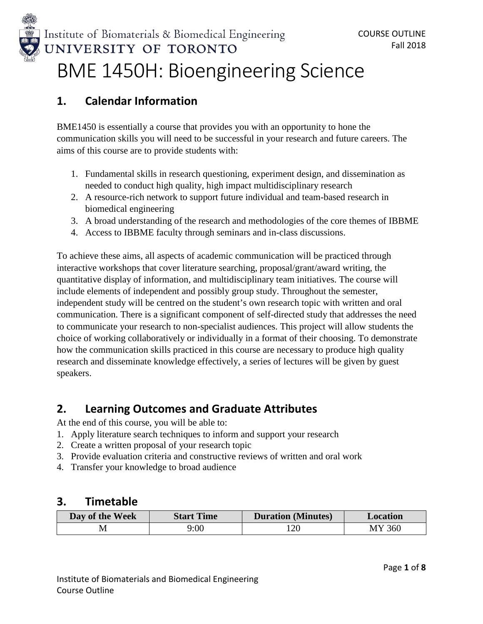

# Institute of Biomaterials & Biomedical Engineering UNIVERSITY OF TORONTO BME 1450H: Bioengineering Science

## **1. Calendar Information**

BME1450 is essentially a course that provides you with an opportunity to hone the communication skills you will need to be successful in your research and future careers. The aims of this course are to provide students with:

- 1. Fundamental skills in research questioning, experiment design, and dissemination as needed to conduct high quality, high impact multidisciplinary research
- 2. A resource-rich network to support future individual and team-based research in biomedical engineering
- 3. A broad understanding of the research and methodologies of the core themes of IBBME
- 4. Access to IBBME faculty through seminars and in-class discussions.

To achieve these aims, all aspects of academic communication will be practiced through interactive workshops that cover literature searching, proposal/grant/award writing, the quantitative display of information, and multidisciplinary team initiatives. The course will include elements of independent and possibly group study. Throughout the semester, independent study will be centred on the student's own research topic with written and oral communication. There is a significant component of self-directed study that addresses the need to communicate your research to non-specialist audiences. This project will allow students the choice of working collaboratively or individually in a format of their choosing. To demonstrate how the communication skills practiced in this course are necessary to produce high quality research and disseminate knowledge effectively, a series of lectures will be given by guest speakers.

## **2. Learning Outcomes and Graduate Attributes**

At the end of this course, you will be able to:

- 1. Apply literature search techniques to inform and support your research
- 2. Create a written proposal of your research topic
- 3. Provide evaluation criteria and constructive reviews of written and oral work
- 4. Transfer your knowledge to broad audience

### **3. Timetable**

| Day of the Week | <b>Start Time</b> | <b>Duration</b> (Minutes) | <b>Location</b> |
|-----------------|-------------------|---------------------------|-----------------|
|                 | 9:00              | 120                       | 360             |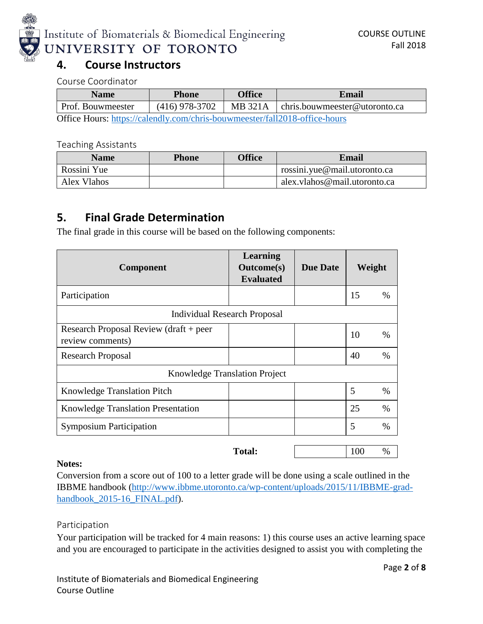

| <b>Name</b>                                                                | <b>Phone</b>   | <b>Office</b> | Email                         |
|----------------------------------------------------------------------------|----------------|---------------|-------------------------------|
| Prof. Bouwmeester                                                          | (416) 978-3702 | MB 321A       | chris.bouwmeester@utoronto.ca |
| Office Hours: https://calendly.com/chris-bouwmeester/fall2018-office-hours |                |               |                               |

#### Teaching Assistants

| <b>Name</b> | <b>Phone</b> | <b>Office</b> | Email                        |
|-------------|--------------|---------------|------------------------------|
| Rossini Yue |              |               | rossini.yue@mail.utoronto.ca |
| Alex Vlahos |              |               | alex.vlahos@mail.utoronto.ca |

## **5. Final Grade Determination**

The final grade in this course will be based on the following components:

| Component                                                  | Learning<br><b>Outcome</b> (s)<br><b>Evaluated</b> | <b>Due Date</b> | Weight |      |  |
|------------------------------------------------------------|----------------------------------------------------|-----------------|--------|------|--|
| Participation                                              |                                                    |                 | 15     | %    |  |
| <b>Individual Research Proposal</b>                        |                                                    |                 |        |      |  |
| Research Proposal Review (draft + peer<br>review comments) |                                                    |                 | 10     | %    |  |
| <b>Research Proposal</b>                                   |                                                    |                 | 40     | $\%$ |  |
| <b>Knowledge Translation Project</b>                       |                                                    |                 |        |      |  |
| <b>Knowledge Translation Pitch</b>                         |                                                    |                 | 5      | %    |  |
| <b>Knowledge Translation Presentation</b>                  |                                                    |                 | 25     | $\%$ |  |
| <b>Symposium Participation</b>                             |                                                    |                 | 5      | %    |  |
|                                                            | <b>Total:</b>                                      |                 | 100    | $\%$ |  |

#### **Notes:**

Conversion from a score out of 100 to a letter grade will be done using a scale outlined in the IBBME handbook [\(http://www.ibbme.utoronto.ca/wp-content/uploads/2015/11/IBBME-grad](http://www.ibbme.utoronto.ca/wp-content/uploads/2015/11/IBBME-grad-handbook_2015-16_FINAL.pdf)[handbook\\_2015-16\\_FINAL.pdf\)](http://www.ibbme.utoronto.ca/wp-content/uploads/2015/11/IBBME-grad-handbook_2015-16_FINAL.pdf).

#### Participation

Your participation will be tracked for 4 main reasons: 1) this course uses an active learning space and you are encouraged to participate in the activities designed to assist you with completing the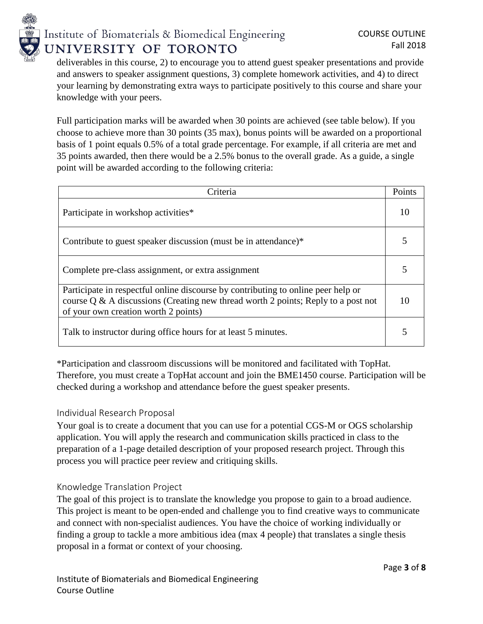

deliverables in this course, 2) to encourage you to attend guest speaker presentations and provide and answers to speaker assignment questions, 3) complete homework activities, and 4) to direct your learning by demonstrating extra ways to participate positively to this course and share your knowledge with your peers.

Full participation marks will be awarded when 30 points are achieved (see table below). If you choose to achieve more than 30 points (35 max), bonus points will be awarded on a proportional basis of 1 point equals 0.5% of a total grade percentage. For example, if all criteria are met and 35 points awarded, then there would be a 2.5% bonus to the overall grade. As a guide, a single point will be awarded according to the following criteria:

| Criteria                                                                                                                                                                                                          |    |  |
|-------------------------------------------------------------------------------------------------------------------------------------------------------------------------------------------------------------------|----|--|
| Participate in workshop activities*                                                                                                                                                                               |    |  |
| Contribute to guest speaker discussion (must be in attendance)*                                                                                                                                                   |    |  |
| Complete pre-class assignment, or extra assignment                                                                                                                                                                |    |  |
| Participate in respectful online discourse by contributing to online peer help or<br>course $Q \& A$ discussions (Creating new thread worth 2 points; Reply to a post not<br>of your own creation worth 2 points) | 10 |  |
| Talk to instructor during office hours for at least 5 minutes.                                                                                                                                                    |    |  |

\*Participation and classroom discussions will be monitored and facilitated with TopHat. Therefore, you must create a TopHat account and join the BME1450 course. Participation will be checked during a workshop and attendance before the guest speaker presents.

#### Individual Research Proposal

Your goal is to create a document that you can use for a potential CGS-M or OGS scholarship application. You will apply the research and communication skills practiced in class to the preparation of a 1-page detailed description of your proposed research project. Through this process you will practice peer review and critiquing skills.

#### Knowledge Translation Project

The goal of this project is to translate the knowledge you propose to gain to a broad audience. This project is meant to be open-ended and challenge you to find creative ways to communicate and connect with non-specialist audiences. You have the choice of working individually or finding a group to tackle a more ambitious idea (max 4 people) that translates a single thesis proposal in a format or context of your choosing.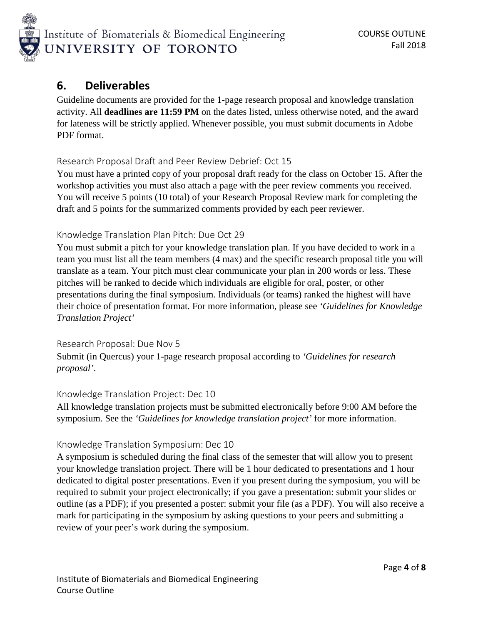

## **6. Deliverables**

Guideline documents are provided for the 1-page research proposal and knowledge translation activity. All **deadlines are 11:59 PM** on the dates listed, unless otherwise noted, and the award for lateness will be strictly applied. Whenever possible, you must submit documents in Adobe PDF format.

#### Research Proposal Draft and Peer Review Debrief: Oct 15

You must have a printed copy of your proposal draft ready for the class on October 15. After the workshop activities you must also attach a page with the peer review comments you received. You will receive 5 points (10 total) of your Research Proposal Review mark for completing the draft and 5 points for the summarized comments provided by each peer reviewer.

#### Knowledge Translation Plan Pitch: Due Oct 29

You must submit a pitch for your knowledge translation plan. If you have decided to work in a team you must list all the team members (4 max) and the specific research proposal title you will translate as a team. Your pitch must clear communicate your plan in 200 words or less. These pitches will be ranked to decide which individuals are eligible for oral, poster, or other presentations during the final symposium. Individuals (or teams) ranked the highest will have their choice of presentation format. For more information, please see *'Guidelines for Knowledge Translation Project'*

#### Research Proposal: Due Nov 5 Submit (in Quercus) your 1-page research proposal according to *'Guidelines for research proposal'*.

#### Knowledge Translation Project: Dec 10

All knowledge translation projects must be submitted electronically before 9:00 AM before the symposium. See the *'Guidelines for knowledge translation project'* for more information.

#### Knowledge Translation Symposium: Dec 10

A symposium is scheduled during the final class of the semester that will allow you to present your knowledge translation project. There will be 1 hour dedicated to presentations and 1 hour dedicated to digital poster presentations. Even if you present during the symposium, you will be required to submit your project electronically; if you gave a presentation: submit your slides or outline (as a PDF); if you presented a poster: submit your file (as a PDF). You will also receive a mark for participating in the symposium by asking questions to your peers and submitting a review of your peer's work during the symposium.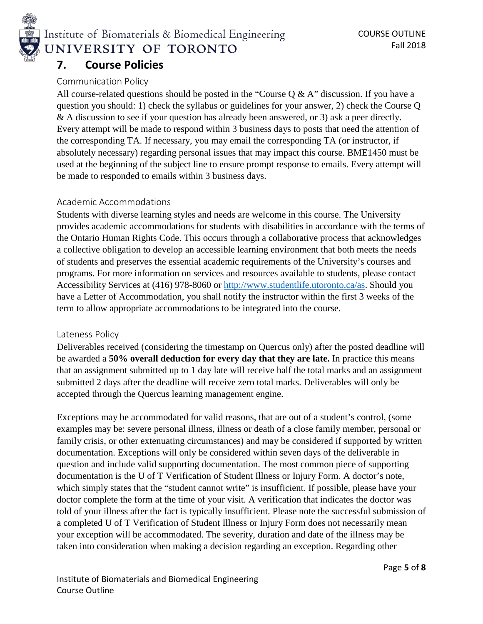

## **7. Course Policies**

#### Communication Policy

All course-related questions should be posted in the "Course  $Q & A$ " discussion. If you have a question you should: 1) check the syllabus or guidelines for your answer, 2) check the Course Q & A discussion to see if your question has already been answered, or 3) ask a peer directly. Every attempt will be made to respond within 3 business days to posts that need the attention of the corresponding TA. If necessary, you may email the corresponding TA (or instructor, if absolutely necessary) regarding personal issues that may impact this course. BME1450 must be used at the beginning of the subject line to ensure prompt response to emails. Every attempt will be made to responded to emails within 3 business days.

#### Academic Accommodations

Students with diverse learning styles and needs are welcome in this course. The University provides academic accommodations for students with disabilities in accordance with the terms of the Ontario Human Rights Code. This occurs through a collaborative process that acknowledges a collective obligation to develop an accessible learning environment that both meets the needs of students and preserves the essential academic requirements of the University's courses and programs. For more information on services and resources available to students, please contact Accessibility Services at (416) 978-8060 or [http://www.studentlife.utoronto.ca/as.](http://www.studentlife.utoronto.ca/as) Should you have a Letter of Accommodation, you shall notify the instructor within the first 3 weeks of the term to allow appropriate accommodations to be integrated into the course.

#### Lateness Policy

Deliverables received (considering the timestamp on Quercus only) after the posted deadline will be awarded a **50% overall deduction for every day that they are late.** In practice this means that an assignment submitted up to 1 day late will receive half the total marks and an assignment submitted 2 days after the deadline will receive zero total marks. Deliverables will only be accepted through the Quercus learning management engine.

Exceptions may be accommodated for valid reasons, that are out of a student's control, (some examples may be: severe personal illness, illness or death of a close family member, personal or family crisis, or other extenuating circumstances) and may be considered if supported by written documentation. Exceptions will only be considered within seven days of the deliverable in question and include valid supporting documentation. The most common piece of supporting documentation is the U of T Verification of Student Illness or Injury Form. A doctor's note, which simply states that the "student cannot write" is insufficient. If possible, please have your doctor complete the form at the time of your visit. A verification that indicates the doctor was told of your illness after the fact is typically insufficient. Please note the successful submission of a completed U of T Verification of Student Illness or Injury Form does not necessarily mean your exception will be accommodated. The severity, duration and date of the illness may be taken into consideration when making a decision regarding an exception. Regarding other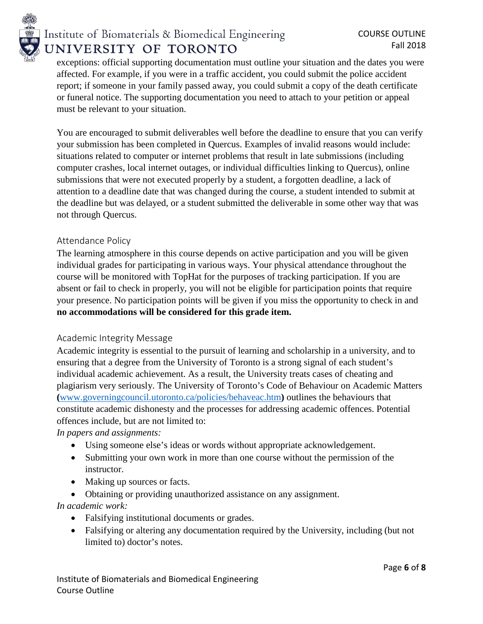

exceptions: official supporting documentation must outline your situation and the dates you were affected. For example, if you were in a traffic accident, you could submit the police accident report; if someone in your family passed away, you could submit a copy of the death certificate or funeral notice. The supporting documentation you need to attach to your petition or appeal must be relevant to your situation.

You are encouraged to submit deliverables well before the deadline to ensure that you can verify your submission has been completed in Quercus. Examples of invalid reasons would include: situations related to computer or internet problems that result in late submissions (including computer crashes, local internet outages, or individual difficulties linking to Quercus), online submissions that were not executed properly by a student, a forgotten deadline, a lack of attention to a deadline date that was changed during the course, a student intended to submit at the deadline but was delayed, or a student submitted the deliverable in some other way that was not through Quercus.

#### Attendance Policy

The learning atmosphere in this course depends on active participation and you will be given individual grades for participating in various ways. Your physical attendance throughout the course will be monitored with TopHat for the purposes of tracking participation. If you are absent or fail to check in properly, you will not be eligible for participation points that require your presence. No participation points will be given if you miss the opportunity to check in and **no accommodations will be considered for this grade item.**

#### Academic Integrity Message

Academic integrity is essential to the pursuit of learning and scholarship in a university, and to ensuring that a degree from the University of Toronto is a strong signal of each student's individual academic achievement. As a result, the University treats cases of cheating and plagiarism very seriously. The University of Toronto's Code of Behaviour on Academic Matters **(**www.governingcouncil.utoronto.ca/policies/behaveac.htm**)** outlines the behaviours that constitute academic dishonesty and the processes for addressing academic offences. Potential offences include, but are not limited to:

#### *In papers and assignments:*

- Using someone else's ideas or words without appropriate acknowledgement.
- Submitting your own work in more than one course without the permission of the instructor.
- Making up sources or facts.
- Obtaining or providing unauthorized assistance on any assignment.

#### *In academic work:*

- Falsifying institutional documents or grades.
- Falsifying or altering any documentation required by the University, including (but not limited to) doctor's notes.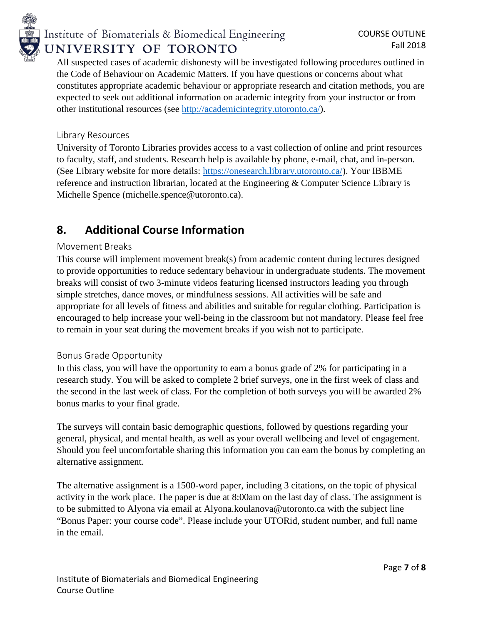

All suspected cases of academic dishonesty will be investigated following procedures outlined in the Code of Behaviour on Academic Matters. If you have questions or concerns about what constitutes appropriate academic behaviour or appropriate research and citation methods, you are expected to seek out additional information on academic integrity from your instructor or from other institutional resources (see [http://academicintegrity.utoronto.ca/\)](http://academicintegrity.utoronto.ca/).

#### Library Resources

University of Toronto Libraries provides access to a vast collection of online and print resources to faculty, staff, and students. Research help is available by phone, e-mail, chat, and in-person. (See Library website for more details: [https://onesearch.library.utoronto.ca/\)](https://onesearch.library.utoronto.ca/). Your IBBME reference and instruction librarian, located at the Engineering & Computer Science Library is Michelle Spence (michelle.spence@utoronto.ca).

## **8. Additional Course Information**

#### Movement Breaks

This course will implement movement break(s) from academic content during lectures designed to provide opportunities to reduce sedentary behaviour in undergraduate students. The movement breaks will consist of two 3-minute videos featuring licensed instructors leading you through simple stretches, dance moves, or mindfulness sessions. All activities will be safe and appropriate for all levels of fitness and abilities and suitable for regular clothing. Participation is encouraged to help increase your well-being in the classroom but not mandatory. Please feel free to remain in your seat during the movement breaks if you wish not to participate.

#### Bonus Grade Opportunity

In this class, you will have the opportunity to earn a bonus grade of 2% for participating in a research study. You will be asked to complete 2 brief surveys, one in the first week of class and the second in the last week of class. For the completion of both surveys you will be awarded 2% bonus marks to your final grade.

The surveys will contain basic demographic questions, followed by questions regarding your general, physical, and mental health, as well as your overall wellbeing and level of engagement. Should you feel uncomfortable sharing this information you can earn the bonus by completing an alternative assignment.

The alternative assignment is a 1500-word paper, including 3 citations, on the topic of physical activity in the work place. The paper is due at 8:00am on the last day of class. The assignment is to be submitted to Alyona via email at Alyona.koulanova@utoronto.ca with the subject line "Bonus Paper: your course code". Please include your UTORid, student number, and full name in the email.